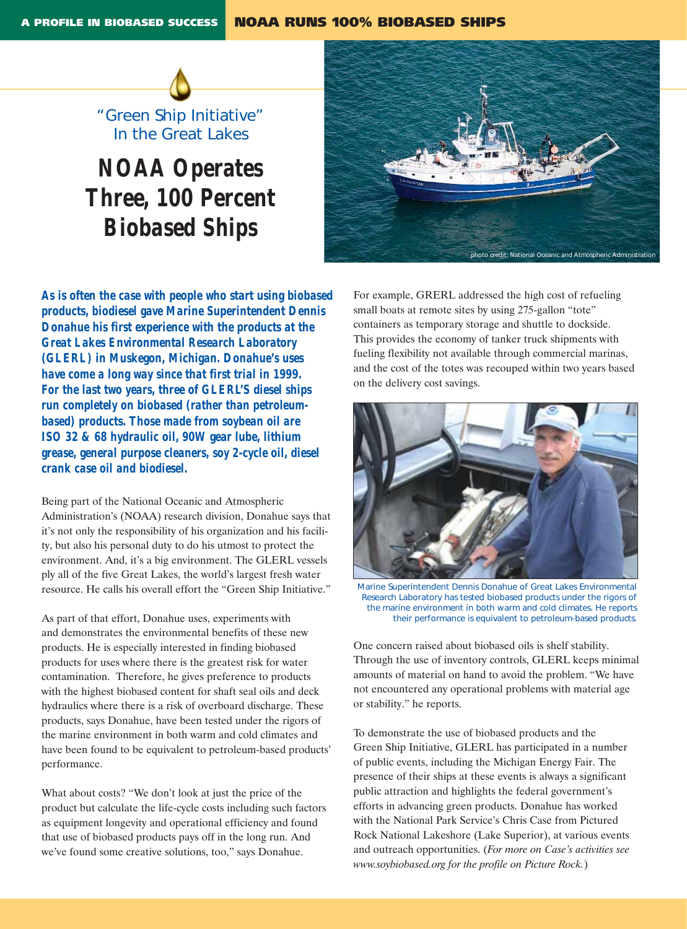

# *NOAA Operates Three, 100 Percent Biobased Ships*

*As is often the case with people who start using biobased products, biodiesel gave Marine Superintendent Dennis Donahue his first experience with the products at the Great Lakes Environmental Research Laboratory (GLERL) in Muskegon, Michigan. Donahue's uses have come a long way since that first trial in 1999. For the last two years, three of GLERL'S diesel ships run completely on biobased (rather than petroleumbased) products. Those made from soybean oil are ISO 32 & 68 hydraulic oil, 90W gear lube, lithium grease, general purpose cleaners, soy 2-cycle oil, diesel crank case oil and biodiesel.* 

Being part of the National Oceanic and Atmospheric Administration's (NOAA) research division, Donahue says that it's not only the responsibility of his organization and his facility, but also his personal duty to do his utmost to protect the environment. And, it's a big environment. The GLERL vessels ply all of the five Great Lakes, the world's largest fresh water resource. He calls his overall effort the "Green Ship Initiative."

As part of that effort, Donahue uses, experiments with and demonstrates the environmental benefits of these new products. He is especially interested in finding biobased products for uses where there is the greatest risk for water contamination. Therefore, he gives preference to products with the highest biobased content for shaft seal oils and deck hydraulics where there is a risk of overboard discharge. These products, says Donahue, have been tested under the rigors of the marine environment in both warm and cold climates and have been found to be equivalent to petroleum-based products' performance.

What about costs? "We don't look at just the price of the product but calculate the life-cycle costs including such factors as equipment longevity and operational efficiency and found that use of biobased products pays off in the long run. And we've found some creative solutions, too," says Donahue.



For example, GRERL addressed the high cost of refueling small boats at remote sites by using 275-gallon "tote" containers as temporary storage and shuttle to dockside. This provides the economy of tanker truck shipments with fueling flexibility not available through commercial marinas, and the cost of the totes was recouped within two years based on the delivery cost savings.



*Marine Superintendent Dennis Donahue of Great Lakes Environmental Research Laboratory has tested biobased products under the rigors of the marine environment in both warm and cold climates. He reports their performance is equivalent to petroleum-based products.* 

One concern raised about biobased oils is shelf stability. Through the use of inventory controls, GLERL keeps minimal amounts of material on hand to avoid the problem. "We have not encountered any operational problems with material age or stability." he reports.

To demonstrate the use of biobased products and the Green Ship Initiative, GLERL has participated in a number of public events, including the Michigan Energy Fair. The presence of their ships at these events is always a significant public attraction and highlights the federal government's efforts in advancing green products. Donahue has worked with the National Park Service's Chris Case from Pictured Rock National Lakeshore (Lake Superior), at various events and outreach opportunities. (*For more on Case's activities see www.soybiobased.org for the profile on Picture Rock.*)